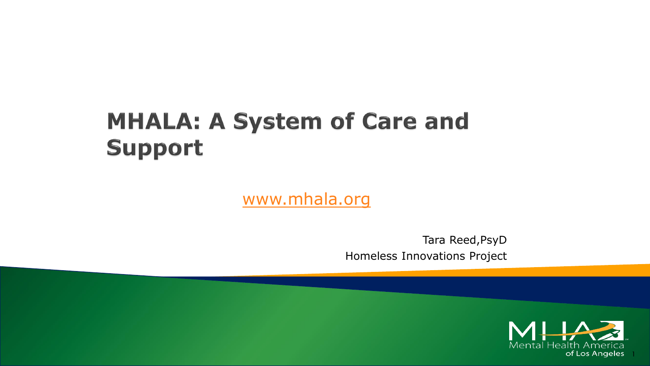# **MHALA: A System of Care and** Support

[www.mhala.org](http://www.mhala.org/)

Tara Reed,PsyD Homeless Innovations Project

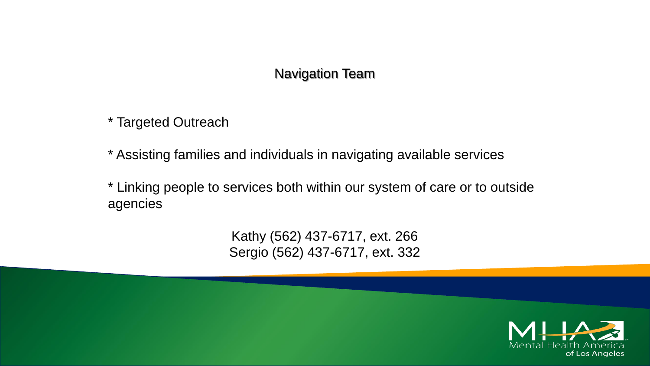## Navigation Team

\* Targeted Outreach

\* Assisting families and individuals in navigating available services

\* Linking people to services both within our system of care or to outside agencies

> Kathy (562) 437-6717, ext. 266 Sergio (562) 437-6717, ext. 332

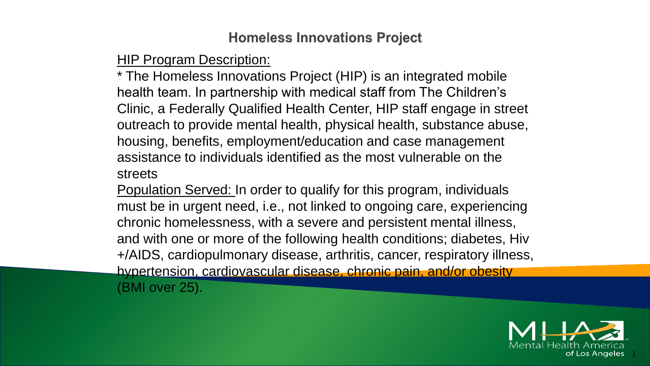## **Homeless Innovations Project**

HIP Program Description:

\* The Homeless Innovations Project (HIP) is an integrated mobile health team. In partnership with medical staff from The Children's Clinic, a Federally Qualified Health Center, HIP staff engage in street outreach to provide mental health, physical health, substance abuse, housing, benefits, employment/education and case management assistance to individuals identified as the most vulnerable on the streets

Population Served: In order to qualify for this program, individuals must be in urgent need, i.e., not linked to ongoing care, experiencing chronic homelessness, with a severe and persistent mental illness, and with one or more of the following health conditions; diabetes, Hiv +/AIDS, cardiopulmonary disease, arthritis, cancer, respiratory illness, hypertension, cardiovascular disease, chronic pain, and/or obesity (BMI over 25).

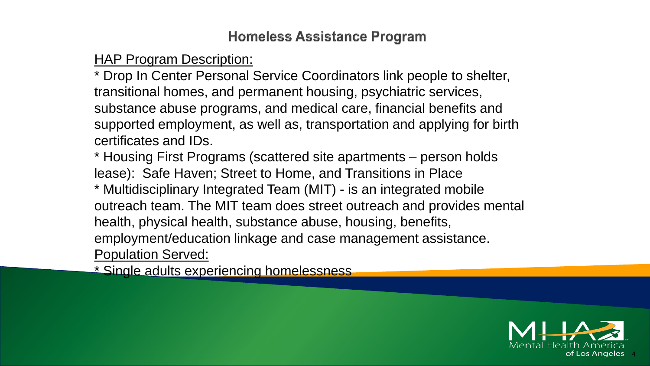#### **Homeless Assistance Program**

HAP Program Description:

\* Drop In Center Personal Service Coordinators link people to shelter, transitional homes, and permanent housing, psychiatric services, substance abuse programs, and medical care, financial benefits and supported employment, as well as, transportation and applying for birth certificates and IDs.

\* Housing First Programs (scattered site apartments – person holds lease): Safe Haven; Street to Home, and Transitions in Place \* Multidisciplinary Integrated Team (MIT) - is an integrated mobile outreach team. The MIT team does street outreach and provides mental health, physical health, substance abuse, housing, benefits, employment/education linkage and case management assistance. Population Served:

\* Single adults experiencing homelessness

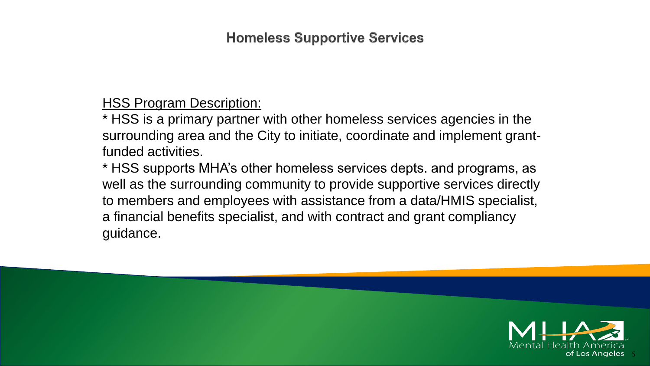## **Homeless Supportive Services**

## HSS Program Description:

\* HSS is a primary partner with other homeless services agencies in the surrounding area and the City to initiate, coordinate and implement grantfunded activities.

\* HSS supports MHA's other homeless services depts. and programs, as well as the surrounding community to provide supportive services directly to members and employees with assistance from a data/HMIS specialist, a financial benefits specialist, and with contract and grant compliancy guidance.

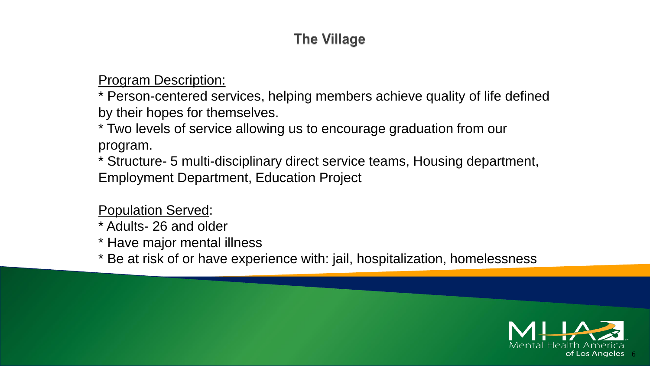## **The Village**

Program Description:

\* Person-centered services, helping members achieve quality of life defined by their hopes for themselves.

\* Two levels of service allowing us to encourage graduation from our program.

\* Structure- 5 multi-disciplinary direct service teams, Housing department, Employment Department, Education Project

**Population Served:** 

- \* Adults- 26 and older
- \* Have major mental illness
- \* Be at risk of or have experience with: jail, hospitalization, homelessness

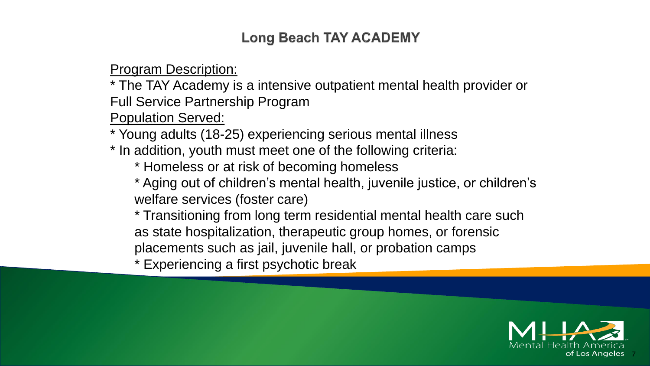# **Long Beach TAY ACADEMY**

Program Description:

\* The TAY Academy is a intensive outpatient mental health provider or Full Service Partnership Program

Population Served:

\* Young adults (18-25) experiencing serious mental illness

\* In addition, youth must meet one of the following criteria:

\* Homeless or at risk of becoming homeless

\* Aging out of children's mental health, juvenile justice, or children's welfare services (foster care)

\* Transitioning from long term residential mental health care such as state hospitalization, therapeutic group homes, or forensic placements such as jail, juvenile hall, or probation camps

\* Experiencing a first psychotic break

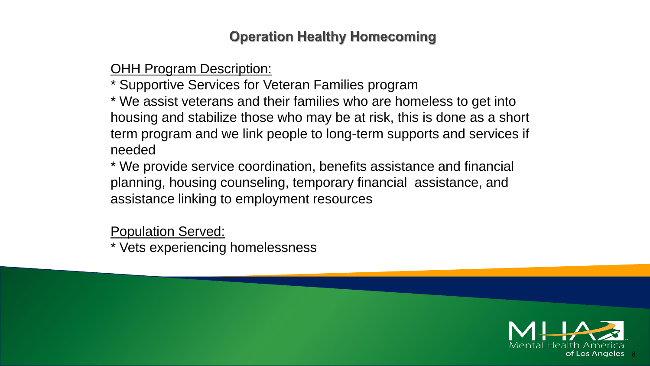## **Operation Healthy Homecoming**

**OHH Program Description:** 

- \* Supportive Services for Veteran Families program
- \* We assist veterans and their families who are homeless to get into housing and stabilize those who may be at risk, this is done as a short term program and we link people to long-term supports and services if needed
- \* We provide service coordination, benefits assistance and financial planning, housing counseling, temporary financial assistance, and assistance linking to employment resources

Population Served:

\* Vets experiencing homelessness

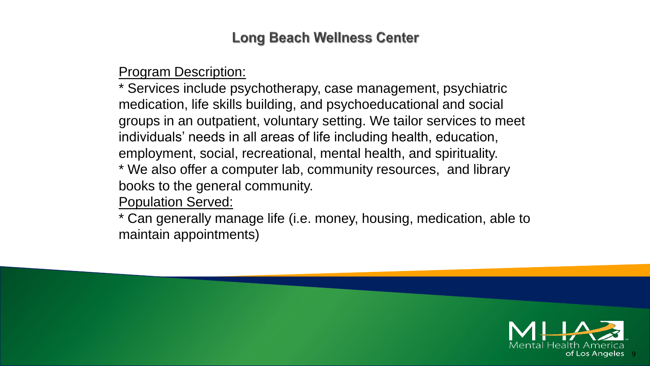## **Long Beach Wellness Center**

Program Description:

\* Services include psychotherapy, case management, psychiatric medication, life skills building, and psychoeducational and social groups in an outpatient, voluntary setting. We tailor services to meet individuals' needs in all areas of life including health, education, employment, social, recreational, mental health, and spirituality. \* We also offer a computer lab, community resources, and library books to the general community. Population Served:

\* Can generally manage life (i.e. money, housing, medication, able to maintain appointments)

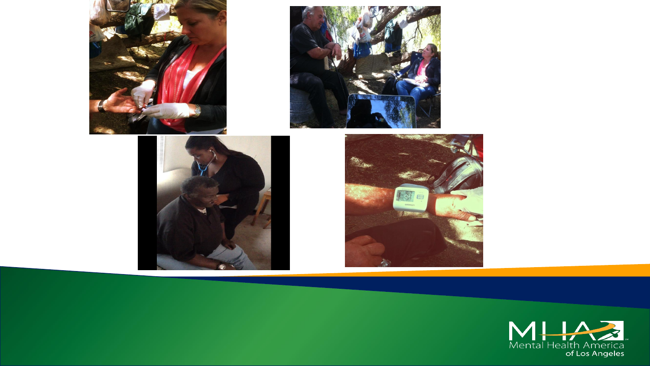